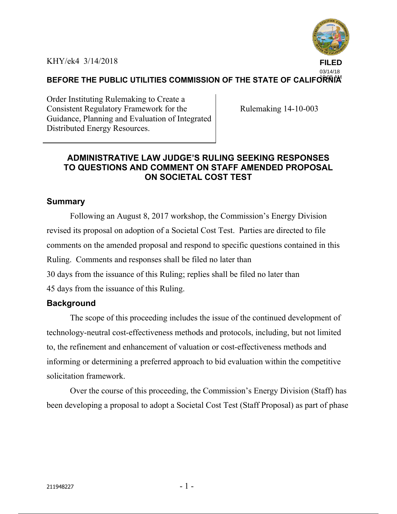KHY/ek4 3/14/2018



#### BEFORE THE PUBLIC UTILITIES COMMISSION OF THE STATE OF CALIFORNIA<sup>M</sup>

Order Instituting Rulemaking to Create a Consistent Regulatory Framework for the Guidance, Planning and Evaluation of Integrated Distributed Energy Resources.

Rulemaking 14-10-003

## **ADMINISTRATIVE LAW JUDGE'S RULING SEEKING RESPONSES TO QUESTIONS AND COMMENT ON STAFF AMENDED PROPOSAL ON SOCIETAL COST TEST**

#### **Summary**

Following an August 8, 2017 workshop, the Commission's Energy Division revised its proposal on adoption of a Societal Cost Test. Parties are directed to file comments on the amended proposal and respond to specific questions contained in this Ruling. Comments and responses shall be filed no later than 30 days from the issuance of this Ruling; replies shall be filed no later than 45 days from the issuance of this Ruling.

#### **Background**

The scope of this proceeding includes the issue of the continued development of technology-neutral cost-effectiveness methods and protocols, including, but not limited to, the refinement and enhancement of valuation or cost-effectiveness methods and informing or determining a preferred approach to bid evaluation within the competitive solicitation framework.

Over the course of this proceeding, the Commission's Energy Division (Staff) has been developing a proposal to adopt a Societal Cost Test (Staff Proposal) as part of phase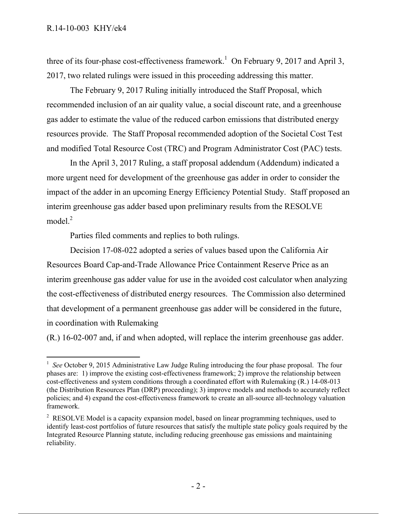three of its four-phase cost-effectiveness framework.<sup>1</sup> On February 9, 2017 and April 3, 2017, two related rulings were issued in this proceeding addressing this matter.

The February 9, 2017 Ruling initially introduced the Staff Proposal, which recommended inclusion of an air quality value, a social discount rate, and a greenhouse gas adder to estimate the value of the reduced carbon emissions that distributed energy resources provide. The Staff Proposal recommended adoption of the Societal Cost Test and modified Total Resource Cost (TRC) and Program Administrator Cost (PAC) tests.

In the April 3, 2017 Ruling, a staff proposal addendum (Addendum) indicated a more urgent need for development of the greenhouse gas adder in order to consider the impact of the adder in an upcoming Energy Efficiency Potential Study. Staff proposed an interim greenhouse gas adder based upon preliminary results from the RESOLVE model.<sup>2</sup>

Parties filed comments and replies to both rulings.

Decision 17-08-022 adopted a series of values based upon the California Air Resources Board Cap-and-Trade Allowance Price Containment Reserve Price as an interim greenhouse gas adder value for use in the avoided cost calculator when analyzing the cost-effectiveness of distributed energy resources. The Commission also determined that development of a permanent greenhouse gas adder will be considered in the future, in coordination with Rulemaking

(R.) 16-02-007 and, if and when adopted, will replace the interim greenhouse gas adder.

 $\overline{a}$ <sup>1</sup> See October 9, 2015 Administrative Law Judge Ruling introducing the four phase proposal. The four phases are: 1) improve the existing cost-effectiveness framework; 2) improve the relationship between cost-effectiveness and system conditions through a coordinated effort with Rulemaking (R.) 14-08-013 (the Distribution Resources Plan (DRP) proceeding); 3) improve models and methods to accurately reflect policies; and 4) expand the cost-effectiveness framework to create an all-source all-technology valuation framework.

 $2^2$  RESOLVE Model is a capacity expansion model, based on linear programming techniques, used to identify least-cost portfolios of future resources that satisfy the multiple state policy goals required by the Integrated Resource Planning statute, including reducing greenhouse gas emissions and maintaining reliability.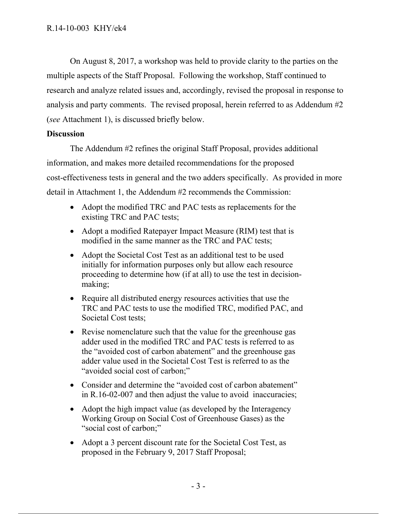On August 8, 2017, a workshop was held to provide clarity to the parties on the multiple aspects of the Staff Proposal. Following the workshop, Staff continued to research and analyze related issues and, accordingly, revised the proposal in response to analysis and party comments. The revised proposal, herein referred to as Addendum #2 (*see* Attachment 1), is discussed briefly below.

#### **Discussion**

The Addendum #2 refines the original Staff Proposal, provides additional information, and makes more detailed recommendations for the proposed cost-effectiveness tests in general and the two adders specifically. As provided in more detail in Attachment 1, the Addendum #2 recommends the Commission:

- Adopt the modified TRC and PAC tests as replacements for the existing TRC and PAC tests;
- Adopt a modified Ratepayer Impact Measure (RIM) test that is modified in the same manner as the TRC and PAC tests;
- Adopt the Societal Cost Test as an additional test to be used initially for information purposes only but allow each resource proceeding to determine how (if at all) to use the test in decisionmaking;
- Require all distributed energy resources activities that use the TRC and PAC tests to use the modified TRC, modified PAC, and Societal Cost tests;
- Revise nomenclature such that the value for the greenhouse gas adder used in the modified TRC and PAC tests is referred to as the "avoided cost of carbon abatement" and the greenhouse gas adder value used in the Societal Cost Test is referred to as the "avoided social cost of carbon;"
- Consider and determine the "avoided cost of carbon abatement" in R.16-02-007 and then adjust the value to avoid inaccuracies;
- Adopt the high impact value (as developed by the Interagency Working Group on Social Cost of Greenhouse Gases) as the "social cost of carbon;"
- Adopt a 3 percent discount rate for the Societal Cost Test, as proposed in the February 9, 2017 Staff Proposal;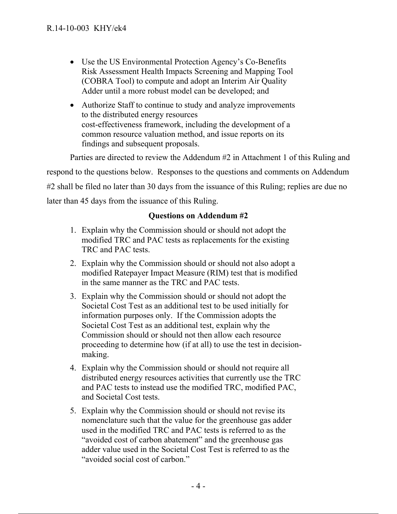- Use the US Environmental Protection Agency's Co-Benefits Risk Assessment Health Impacts Screening and Mapping Tool (COBRA Tool) to compute and adopt an Interim Air Quality Adder until a more robust model can be developed; and
- Authorize Staff to continue to study and analyze improvements to the distributed energy resources cost-effectiveness framework, including the development of a common resource valuation method, and issue reports on its findings and subsequent proposals.

Parties are directed to review the Addendum #2 in Attachment 1 of this Ruling and respond to the questions below. Responses to the questions and comments on Addendum #2 shall be filed no later than 30 days from the issuance of this Ruling; replies are due no later than 45 days from the issuance of this Ruling.

### **Questions on Addendum #2**

- 1. Explain why the Commission should or should not adopt the modified TRC and PAC tests as replacements for the existing TRC and PAC tests.
- 2. Explain why the Commission should or should not also adopt a modified Ratepayer Impact Measure (RIM) test that is modified in the same manner as the TRC and PAC tests.
- 3. Explain why the Commission should or should not adopt the Societal Cost Test as an additional test to be used initially for information purposes only. If the Commission adopts the Societal Cost Test as an additional test, explain why the Commission should or should not then allow each resource proceeding to determine how (if at all) to use the test in decisionmaking.
- 4. Explain why the Commission should or should not require all distributed energy resources activities that currently use the TRC and PAC tests to instead use the modified TRC, modified PAC, and Societal Cost tests.
- 5. Explain why the Commission should or should not revise its nomenclature such that the value for the greenhouse gas adder used in the modified TRC and PAC tests is referred to as the "avoided cost of carbon abatement" and the greenhouse gas adder value used in the Societal Cost Test is referred to as the "avoided social cost of carbon."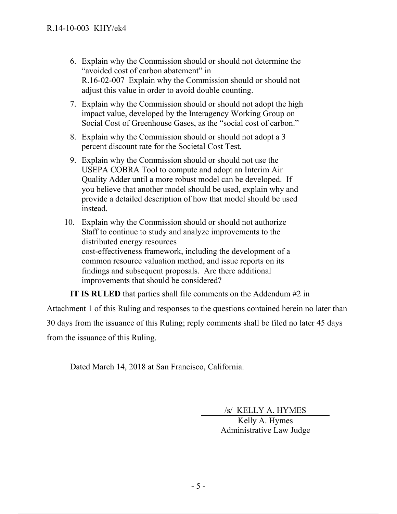- 6. Explain why the Commission should or should not determine the "avoided cost of carbon abatement" in R.16-02-007 Explain why the Commission should or should not adjust this value in order to avoid double counting.
- 7. Explain why the Commission should or should not adopt the high impact value, developed by the Interagency Working Group on Social Cost of Greenhouse Gases, as the "social cost of carbon."
- 8. Explain why the Commission should or should not adopt a 3 percent discount rate for the Societal Cost Test.
- 9. Explain why the Commission should or should not use the USEPA COBRA Tool to compute and adopt an Interim Air Quality Adder until a more robust model can be developed. If you believe that another model should be used, explain why and provide a detailed description of how that model should be used instead.
- 10. Explain why the Commission should or should not authorize Staff to continue to study and analyze improvements to the distributed energy resources cost-effectiveness framework, including the development of a common resource valuation method, and issue reports on its findings and subsequent proposals. Are there additional improvements that should be considered?

**IT IS RULED** that parties shall file comments on the Addendum #2 in

Attachment 1 of this Ruling and responses to the questions contained herein no later than 30 days from the issuance of this Ruling; reply comments shall be filed no later 45 days from the issuance of this Ruling.

Dated March 14, 2018 at San Francisco, California.

/s/ KELLY A. HYMES

 Kelly A. Hymes Administrative Law Judge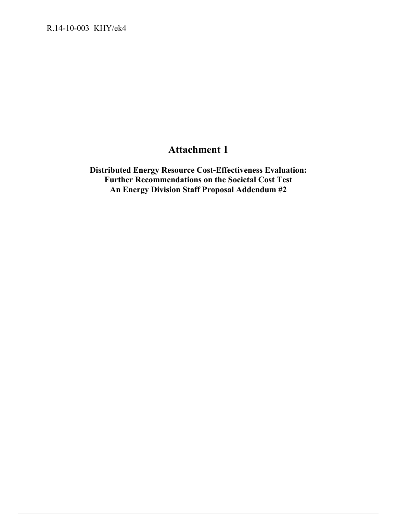# **Attachment 1**

**Distributed Energy Resource Cost-Effectiveness Evaluation: Further Recommendations on the Societal Cost Test An Energy Division Staff Proposal Addendum #2**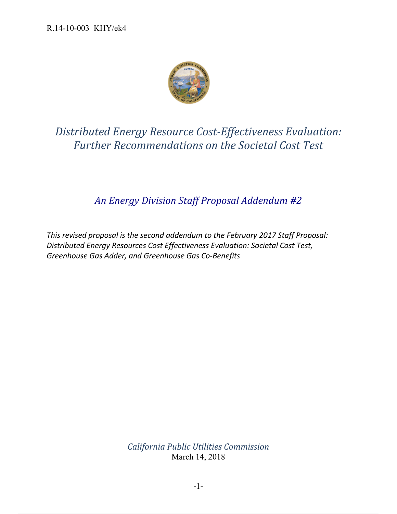

# *Distributed Energy Resource Cost‐Effectiveness Evaluation: Further Recommendations on the Societal Cost Test*

# *An Energy Division Staff Proposal Addendum #2*

*This revised proposal is the second addendum to the February 2017 Staff Proposal: Distributed Energy Resources Cost Effectiveness Evaluation: Societal Cost Test, Greenhouse Gas Adder, and Greenhouse Gas Co‐Benefits*

> *California Public Utilities Commission* March 14, 2018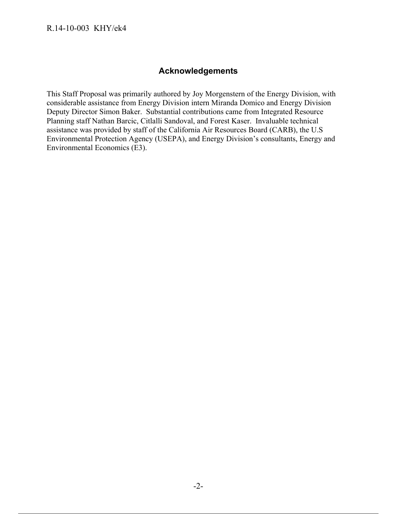### **Acknowledgements**

This Staff Proposal was primarily authored by Joy Morgenstern of the Energy Division, with considerable assistance from Energy Division intern Miranda Domico and Energy Division Deputy Director Simon Baker. Substantial contributions came from Integrated Resource Planning staff Nathan Barcic, Citlalli Sandoval, and Forest Kaser. Invaluable technical assistance was provided by staff of the California Air Resources Board (CARB), the U.S Environmental Protection Agency (USEPA), and Energy Division's consultants, Energy and Environmental Economics (E3).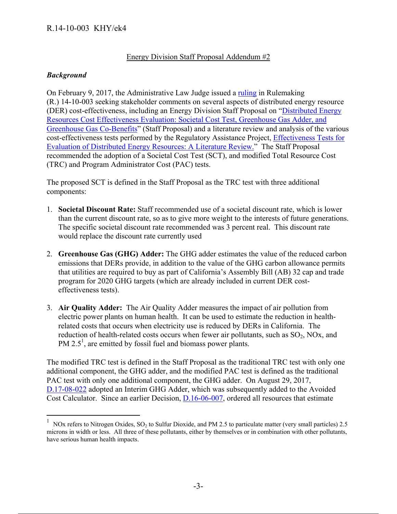#### Energy Division Staff Proposal Addendum #2

#### *Background*

On February 9, 2017, the Administrative Law Judge issued a ruling in Rulemaking (R.) 14-10-003 seeking stakeholder comments on several aspects of distributed energy resource (DER) cost-effectiveness, including an Energy Division Staff Proposal on "Distributed Energy Resources Cost Effectiveness Evaluation: Societal Cost Test, Greenhouse Gas Adder, and Greenhouse Gas Co-Benefits" (Staff Proposal) and a literature review and analysis of the various cost-effectiveness tests performed by the Regulatory Assistance Project, Effectiveness Tests for Evaluation of Distributed Energy Resources: A Literature Review." The Staff Proposal recommended the adoption of a Societal Cost Test (SCT), and modified Total Resource Cost (TRC) and Program Administrator Cost (PAC) tests.

The proposed SCT is defined in the Staff Proposal as the TRC test with three additional components:

- 1. **Societal Discount Rate:** Staff recommended use of a societal discount rate, which is lower than the current discount rate, so as to give more weight to the interests of future generations. The specific societal discount rate recommended was 3 percent real. This discount rate would replace the discount rate currently used
- 2. **Greenhouse Gas (GHG) Adder:** The GHG adder estimates the value of the reduced carbon emissions that DERs provide, in addition to the value of the GHG carbon allowance permits that utilities are required to buy as part of California's Assembly Bill (AB) 32 cap and trade program for 2020 GHG targets (which are already included in current DER costeffectiveness tests).
- 3. **Air Quality Adder:** The Air Quality Adder measures the impact of air pollution from electric power plants on human health. It can be used to estimate the reduction in healthrelated costs that occurs when electricity use is reduced by DERs in California. The reduction of health-related costs occurs when fewer air pollutants, such as  $SO_2$ , NOx, and PM  $2.5<sup>1</sup>$ , are emitted by fossil fuel and biomass power plants.

The modified TRC test is defined in the Staff Proposal as the traditional TRC test with only one additional component, the GHG adder, and the modified PAC test is defined as the traditional PAC test with only one additional component, the GHG adder. On August 29, 2017, D.17-08-022 adopted an Interim GHG Adder, which was subsequently added to the Avoided Cost Calculator. Since an earlier Decision, D.16-06-007, ordered all resources that estimate

<sup>&</sup>lt;sup>1</sup> NOx refers to Nitrogen Oxides, SO<sub>2</sub> to Sulfur Dioxide, and PM 2.5 to particulate matter (very small particles) 2.5 microns in width or less. All three of these pollutants, either by themselves or in combination with other pollutants, have serious human health impacts.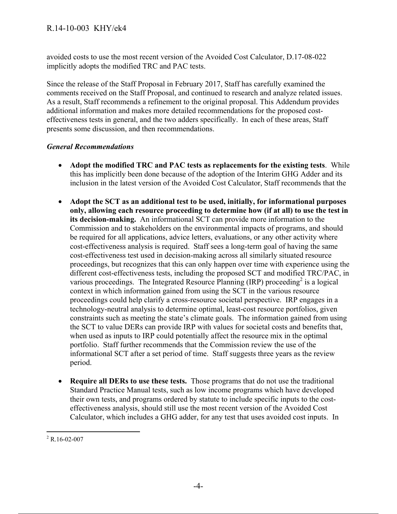avoided costs to use the most recent version of the Avoided Cost Calculator, D.17-08-022 implicitly adopts the modified TRC and PAC tests.

Since the release of the Staff Proposal in February 2017, Staff has carefully examined the comments received on the Staff Proposal, and continued to research and analyze related issues. As a result, Staff recommends a refinement to the original proposal. This Addendum provides additional information and makes more detailed recommendations for the proposed costeffectiveness tests in general, and the two adders specifically. In each of these areas, Staff presents some discussion, and then recommendations.

#### *General Recommendations*

- **Adopt the modified TRC and PAC tests as replacements for the existing tests**. While this has implicitly been done because of the adoption of the Interim GHG Adder and its inclusion in the latest version of the Avoided Cost Calculator, Staff recommends that the
- **Adopt the SCT as an additional test to be used, initially, for informational purposes only, allowing each resource proceeding to determine how (if at all) to use the test in its decision-making.** An informational SCT can provide more information to the Commission and to stakeholders on the environmental impacts of programs, and should be required for all applications, advice letters, evaluations, or any other activity where cost-effectiveness analysis is required. Staff sees a long-term goal of having the same cost-effectiveness test used in decision-making across all similarly situated resource proceedings, but recognizes that this can only happen over time with experience using the different cost-effectiveness tests, including the proposed SCT and modified TRC/PAC, in various proceedings. The Integrated Resource Planning (IRP) proceeding<sup>2</sup> is a logical context in which information gained from using the SCT in the various resource proceedings could help clarify a cross-resource societal perspective. IRP engages in a technology-neutral analysis to determine optimal, least-cost resource portfolios, given constraints such as meeting the state's climate goals. The information gained from using the SCT to value DERs can provide IRP with values for societal costs and benefits that, when used as inputs to IRP could potentially affect the resource mix in the optimal portfolio. Staff further recommends that the Commission review the use of the informational SCT after a set period of time. Staff suggests three years as the review period.
- **Require all DERs to use these tests.** Those programs that do not use the traditional Standard Practice Manual tests, such as low income programs which have developed their own tests, and programs ordered by statute to include specific inputs to the costeffectiveness analysis, should still use the most recent version of the Avoided Cost Calculator, which includes a GHG adder, for any test that uses avoided cost inputs. In

 $\overline{a}$  $2$  R.16-02-007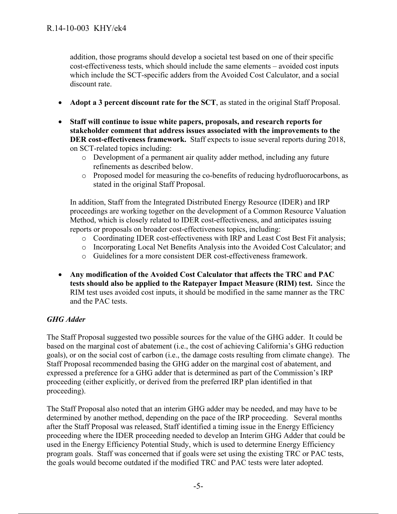addition, those programs should develop a societal test based on one of their specific cost-effectiveness tests, which should include the same elements – avoided cost inputs which include the SCT-specific adders from the Avoided Cost Calculator, and a social discount rate.

- **Adopt a 3 percent discount rate for the SCT**, as stated in the original Staff Proposal.
- **Staff will continue to issue white papers, proposals, and research reports for stakeholder comment that address issues associated with the improvements to the DER cost-effectiveness framework.** Staff expects to issue several reports during 2018, on SCT-related topics including:
	- o Development of a permanent air quality adder method, including any future refinements as described below.
	- o Proposed model for measuring the co-benefits of reducing hydrofluorocarbons, as stated in the original Staff Proposal.

In addition, Staff from the Integrated Distributed Energy Resource (IDER) and IRP proceedings are working together on the development of a Common Resource Valuation Method, which is closely related to IDER cost-effectiveness, and anticipates issuing reports or proposals on broader cost-effectiveness topics, including:

- o Coordinating IDER cost-effectiveness with IRP and Least Cost Best Fit analysis;
- o Incorporating Local Net Benefits Analysis into the Avoided Cost Calculator; and
- o Guidelines for a more consistent DER cost-effectiveness framework.
- **Any modification of the Avoided Cost Calculator that affects the TRC and PAC tests should also be applied to the Ratepayer Impact Measure (RIM) test.** Since the RIM test uses avoided cost inputs, it should be modified in the same manner as the TRC and the PAC tests.

#### *GHG Adder*

The Staff Proposal suggested two possible sources for the value of the GHG adder. It could be based on the marginal cost of abatement (i.e., the cost of achieving California's GHG reduction goals), or on the social cost of carbon (i.e., the damage costs resulting from climate change). The Staff Proposal recommended basing the GHG adder on the marginal cost of abatement, and expressed a preference for a GHG adder that is determined as part of the Commission's IRP proceeding (either explicitly, or derived from the preferred IRP plan identified in that proceeding).

The Staff Proposal also noted that an interim GHG adder may be needed, and may have to be determined by another method, depending on the pace of the IRP proceeding. Several months after the Staff Proposal was released, Staff identified a timing issue in the Energy Efficiency proceeding where the IDER proceeding needed to develop an Interim GHG Adder that could be used in the Energy Efficiency Potential Study, which is used to determine Energy Efficiency program goals. Staff was concerned that if goals were set using the existing TRC or PAC tests, the goals would become outdated if the modified TRC and PAC tests were later adopted.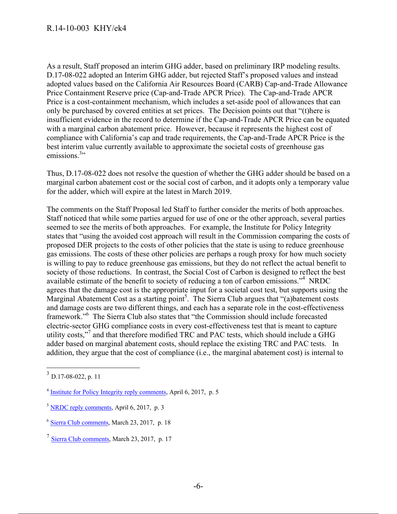As a result, Staff proposed an interim GHG adder, based on preliminary IRP modeling results. D.17-08-022 adopted an Interim GHG adder, but rejected Staff's proposed values and instead adopted values based on the California Air Resources Board (CARB) Cap-and-Trade Allowance Price Containment Reserve price (Cap-and-Trade APCR Price). The Cap-and-Trade APCR Price is a cost-containment mechanism, which includes a set-aside pool of allowances that can only be purchased by covered entities at set prices. The Decision points out that "(t)here is insufficient evidence in the record to determine if the Cap-and-Trade APCR Price can be equated with a marginal carbon abatement price. However, because it represents the highest cost of compliance with California's cap and trade requirements, the Cap-and-Trade APCR Price is the best interim value currently available to approximate the societal costs of greenhouse gas emissions.<sup>3</sup>

Thus, D.17-08-022 does not resolve the question of whether the GHG adder should be based on a marginal carbon abatement cost or the social cost of carbon, and it adopts only a temporary value for the adder, which will expire at the latest in March 2019.

The comments on the Staff Proposal led Staff to further consider the merits of both approaches. Staff noticed that while some parties argued for use of one or the other approach, several parties seemed to see the merits of both approaches. For example, the Institute for Policy Integrity states that "using the avoided cost approach will result in the Commission comparing the costs of proposed DER projects to the costs of other policies that the state is using to reduce greenhouse gas emissions. The costs of these other policies are perhaps a rough proxy for how much society is willing to pay to reduce greenhouse gas emissions, but they do not reflect the actual benefit to society of those reductions. In contrast, the Social Cost of Carbon is designed to reflect the best available estimate of the benefit to society of reducing a ton of carbon emissions."4 NRDC agrees that the damage cost is the appropriate input for a societal cost test, but supports using the Marginal Abatement Cost as a starting point<sup>5</sup>. The Sierra Club argues that "(a)batement costs and damage costs are two different things, and each has a separate role in the cost-effectiveness framework."<sup>6</sup> The Sierra Club also states that "the Commission should include forecasted electric-sector GHG compliance costs in every cost-effectiveness test that is meant to capture utility costs,"<sup>7</sup> and that therefore modified TRC and PAC tests, which should include a GHG adder based on marginal abatement costs, should replace the existing TRC and PAC tests. In addition, they argue that the cost of compliance (i.e., the marginal abatement cost) is internal to

 $3$  D.17-08-022, p. 11

<sup>4</sup> Institute for Policy Integrity reply comments, April 6, 2017, p. 5

 $<sup>5</sup>$  NRDC reply comments, April 6, 2017, p. 3</sup>

<sup>6</sup> Sierra Club comments, March 23, 2017, p. 18

<sup>7</sup> Sierra Club comments, March 23, 2017, p. 17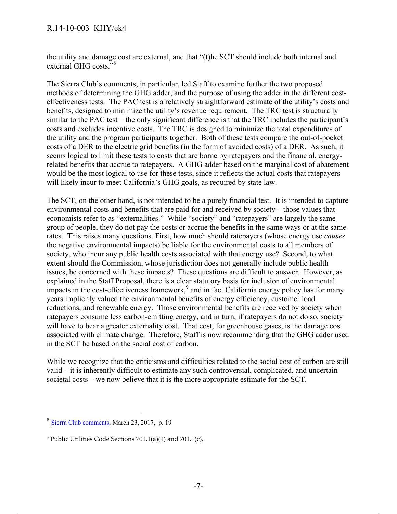the utility and damage cost are external, and that "(t)he SCT should include both internal and external GHG costs."<sup>8</sup>

The Sierra Club's comments, in particular, led Staff to examine further the two proposed methods of determining the GHG adder, and the purpose of using the adder in the different costeffectiveness tests. The PAC test is a relatively straightforward estimate of the utility's costs and benefits, designed to minimize the utility's revenue requirement. The TRC test is structurally similar to the PAC test – the only significant difference is that the TRC includes the participant's costs and excludes incentive costs. The TRC is designed to minimize the total expenditures of the utility and the program participants together. Both of these tests compare the out-of-pocket costs of a DER to the electric grid benefits (in the form of avoided costs) of a DER. As such, it seems logical to limit these tests to costs that are borne by ratepayers and the financial, energyrelated benefits that accrue to ratepayers. A GHG adder based on the marginal cost of abatement would be the most logical to use for these tests, since it reflects the actual costs that ratepayers will likely incur to meet California's GHG goals, as required by state law.

The SCT, on the other hand, is not intended to be a purely financial test. It is intended to capture environmental costs and benefits that are paid for and received by society – those values that economists refer to as "externalities." While "society" and "ratepayers" are largely the same group of people, they do not pay the costs or accrue the benefits in the same ways or at the same rates. This raises many questions. First, how much should ratepayers (whose energy use *causes* the negative environmental impacts) be liable for the environmental costs to all members of society, who incur any public health costs associated with that energy use? Second, to what extent should the Commission, whose jurisdiction does not generally include public health issues, be concerned with these impacts? These questions are difficult to answer. However, as explained in the Staff Proposal, there is a clear statutory basis for inclusion of environmental impacts in the cost-effectiveness framework, $9$  and in fact California energy policy has for many years implicitly valued the environmental benefits of energy efficiency, customer load reductions, and renewable energy. Those environmental benefits are received by society when ratepayers consume less carbon-emitting energy, and in turn, if ratepayers do not do so, society will have to bear a greater externality cost. That cost, for greenhouse gases, is the damage cost associated with climate change. Therefore, Staff is now recommending that the GHG adder used in the SCT be based on the social cost of carbon.

While we recognize that the criticisms and difficulties related to the social cost of carbon are still valid – it is inherently difficult to estimate any such controversial, complicated, and uncertain societal costs – we now believe that it is the more appropriate estimate for the SCT.

<sup>8</sup> Sierra Club comments, March 23, 2017, p. 19

<sup>9</sup> Public Utilities Code Sections 701.1(a)(1) and 701.1(c).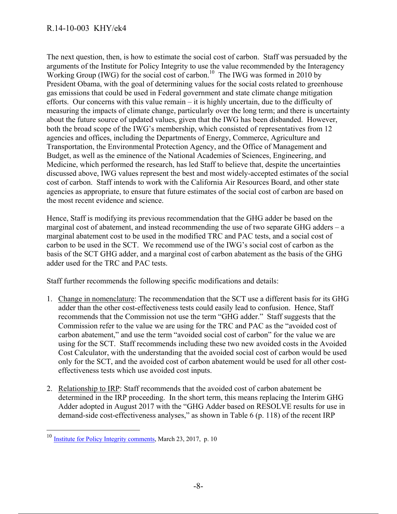The next question, then, is how to estimate the social cost of carbon. Staff was persuaded by the arguments of the Institute for Policy Integrity to use the value recommended by the Interagency Working Group (IWG) for the social cost of carbon.<sup>10</sup> The IWG was formed in 2010 by President Obama, with the goal of determining values for the social costs related to greenhouse gas emissions that could be used in Federal government and state climate change mitigation efforts. Our concerns with this value remain – it is highly uncertain, due to the difficulty of measuring the impacts of climate change, particularly over the long term; and there is uncertainty about the future source of updated values, given that the IWG has been disbanded. However, both the broad scope of the IWG's membership, which consisted of representatives from 12 agencies and offices, including the Departments of Energy, Commerce, Agriculture and Transportation, the Environmental Protection Agency, and the Office of Management and Budget, as well as the eminence of the National Academies of Sciences, Engineering, and Medicine, which performed the research, has led Staff to believe that, despite the uncertainties discussed above, IWG values represent the best and most widely-accepted estimates of the social cost of carbon. Staff intends to work with the California Air Resources Board, and other state agencies as appropriate, to ensure that future estimates of the social cost of carbon are based on the most recent evidence and science.

Hence, Staff is modifying its previous recommendation that the GHG adder be based on the marginal cost of abatement, and instead recommending the use of two separate GHG adders – a marginal abatement cost to be used in the modified TRC and PAC tests, and a social cost of carbon to be used in the SCT. We recommend use of the IWG's social cost of carbon as the basis of the SCT GHG adder, and a marginal cost of carbon abatement as the basis of the GHG adder used for the TRC and PAC tests.

Staff further recommends the following specific modifications and details:

- 1. Change in nomenclature: The recommendation that the SCT use a different basis for its GHG adder than the other cost-effectiveness tests could easily lead to confusion. Hence, Staff recommends that the Commission not use the term "GHG adder." Staff suggests that the Commission refer to the value we are using for the TRC and PAC as the "avoided cost of carbon abatement," and use the term "avoided social cost of carbon" for the value we are using for the SCT. Staff recommends including these two new avoided costs in the Avoided Cost Calculator, with the understanding that the avoided social cost of carbon would be used only for the SCT, and the avoided cost of carbon abatement would be used for all other costeffectiveness tests which use avoided cost inputs.
- 2. Relationship to IRP: Staff recommends that the avoided cost of carbon abatement be determined in the IRP proceeding. In the short term, this means replacing the Interim GHG Adder adopted in August 2017 with the "GHG Adder based on RESOLVE results for use in demand-side cost-effectiveness analyses," as shown in Table 6 (p. 118) of the recent IRP

<sup>&</sup>lt;sup>10</sup> Institute for Policy Integrity comments, March 23, 2017, p. 10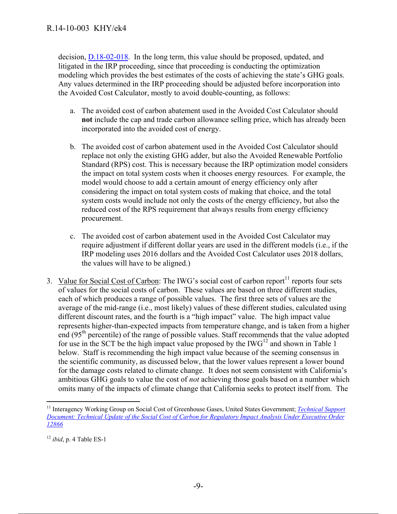decision, D.18-02-018. In the long term, this value should be proposed, updated, and litigated in the IRP proceeding, since that proceeding is conducting the optimization modeling which provides the best estimates of the costs of achieving the state's GHG goals. Any values determined in the IRP proceeding should be adjusted before incorporation into the Avoided Cost Calculator, mostly to avoid double-counting, as follows:

- a. The avoided cost of carbon abatement used in the Avoided Cost Calculator should **not** include the cap and trade carbon allowance selling price, which has already been incorporated into the avoided cost of energy.
- b. The avoided cost of carbon abatement used in the Avoided Cost Calculator should replace not only the existing GHG adder, but also the Avoided Renewable Portfolio Standard (RPS) cost. This is necessary because the IRP optimization model considers the impact on total system costs when it chooses energy resources. For example, the model would choose to add a certain amount of energy efficiency only after considering the impact on total system costs of making that choice, and the total system costs would include not only the costs of the energy efficiency, but also the reduced cost of the RPS requirement that always results from energy efficiency procurement.
- c. The avoided cost of carbon abatement used in the Avoided Cost Calculator may require adjustment if different dollar years are used in the different models (i.e., if the IRP modeling uses 2016 dollars and the Avoided Cost Calculator uses 2018 dollars, the values will have to be aligned.)
- 3. Value for Social Cost of Carbon: The IWG's social cost of carbon report<sup>11</sup> reports four sets of values for the social costs of carbon. These values are based on three different studies, each of which produces a range of possible values. The first three sets of values are the average of the mid-range (i.e., most likely) values of these different studies, calculated using different discount rates, and the fourth is a "high impact" value. The high impact value represents higher-than-expected impacts from temperature change, and is taken from a higher end ( $95<sup>th</sup>$  percentile) of the range of possible values. Staff recommends that the value adopted for use in the SCT be the high impact value proposed by the  $IWG<sup>12</sup>$  and shown in Table 1 below. Staff is recommending the high impact value because of the seeming consensus in the scientific community, as discussed below, that the lower values represent a lower bound for the damage costs related to climate change. It does not seem consistent with California's ambitious GHG goals to value the cost of *not* achieving those goals based on a number which omits many of the impacts of climate change that California seeks to protect itself from. The

 $\overline{a}$ <sup>11</sup> Interagency Working Group on Social Cost of Greenhouse Gases, United States Government; *Technical Support Document: Technical Update of the Social Cost of Carbon for Regulatory Impact Analysis Under Executive Order 12866*

<sup>12</sup> *ibid*, p. 4 Table ES-1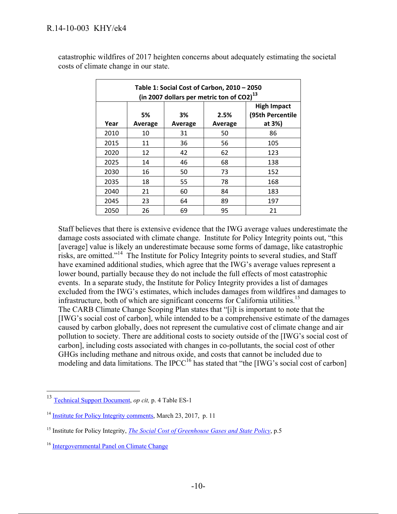| Table 1: Social Cost of Carbon, 2010 - 2050<br>(in 2007 dollars per metric ton of CO2) <sup>13</sup> |               |               |                 |                                                  |  |  |  |
|------------------------------------------------------------------------------------------------------|---------------|---------------|-----------------|--------------------------------------------------|--|--|--|
| Year                                                                                                 | 5%<br>Average | 3%<br>Average | 2.5%<br>Average | <b>High Impact</b><br>(95th Percentile<br>at 3%) |  |  |  |
| 2010                                                                                                 | 10            | 31            | 50              | 86                                               |  |  |  |
| 2015                                                                                                 | 11            | 36            | 56              | 105                                              |  |  |  |
| 2020                                                                                                 | 12            | 42            | 62              | 123                                              |  |  |  |
| 2025                                                                                                 | 14            | 46            | 68              | 138                                              |  |  |  |
| 2030                                                                                                 | 16            | 50            | 73              | 152                                              |  |  |  |
| 2035                                                                                                 | 18            | 55            | 78              | 168                                              |  |  |  |
| 2040                                                                                                 | 21            | 60            | 84              | 183                                              |  |  |  |
| 2045                                                                                                 | 23            | 64            | 89              | 197                                              |  |  |  |
| 2050                                                                                                 | 26            | 69            | 95              | 21                                               |  |  |  |

catastrophic wildfires of 2017 heighten concerns about adequately estimating the societal costs of climate change in our state.

Staff believes that there is extensive evidence that the IWG average values underestimate the damage costs associated with climate change. Institute for Policy Integrity points out, "this [average] value is likely an underestimate because some forms of damage, like catastrophic risks, are omitted."14 The Institute for Policy Integrity points to several studies, and Staff have examined additional studies, which agree that the IWG's average values represent a lower bound, partially because they do not include the full effects of most catastrophic events. In a separate study, the Institute for Policy Integrity provides a list of damages excluded from the IWG's estimates, which includes damages from wildfires and damages to infrastructure, both of which are significant concerns for California utilities.<sup>15</sup> The CARB Climate Change Scoping Plan states that "[i]t is important to note that the [IWG's social cost of carbon], while intended to be a comprehensive estimate of the damages caused by carbon globally, does not represent the cumulative cost of climate change and air pollution to society. There are additional costs to society outside of the [IWG's social cost of carbon], including costs associated with changes in co-pollutants, the social cost of other GHGs including methane and nitrous oxide, and costs that cannot be included due to modeling and data limitations. The IPCC<sup>16</sup> has stated that "the [IWG's social cost of carbon]

<sup>13</sup> Technical Support Document, *op cit,* p. 4 Table ES-1

<sup>&</sup>lt;sup>14</sup> Institute for Policy Integrity comments, March 23, 2017, p. 11

<sup>&</sup>lt;sup>15</sup> Institute for Policy Integrity, *The Social Cost of Greenhouse Gases and State Policy*, p.5

<sup>16</sup> Intergovernmental Panel on Climate Change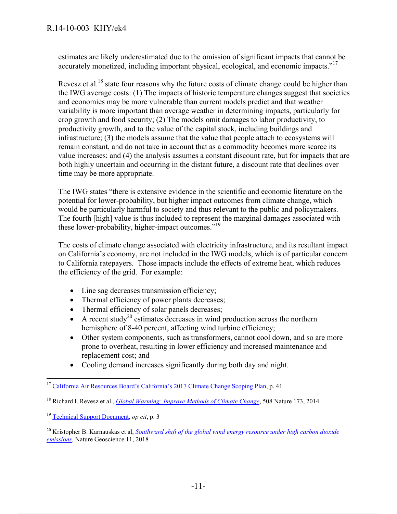estimates are likely underestimated due to the omission of significant impacts that cannot be accurately monetized, including important physical, ecological, and economic impacts."<sup>17</sup>

Revesz et al.<sup>18</sup> state four reasons why the future costs of climate change could be higher than the IWG average costs: (1) The impacts of historic temperature changes suggest that societies and economies may be more vulnerable than current models predict and that weather variability is more important than average weather in determining impacts, particularly for crop growth and food security; (2) The models omit damages to labor productivity, to productivity growth, and to the value of the capital stock, including buildings and infrastructure; (3) the models assume that the value that people attach to ecosystems will remain constant, and do not take in account that as a commodity becomes more scarce its value increases; and (4) the analysis assumes a constant discount rate, but for impacts that are both highly uncertain and occurring in the distant future, a discount rate that declines over time may be more appropriate.

The IWG states "there is extensive evidence in the scientific and economic literature on the potential for lower-probability, but higher impact outcomes from climate change, which would be particularly harmful to society and thus relevant to the public and policymakers. The fourth [high] value is thus included to represent the marginal damages associated with these lower-probability, higher-impact outcomes."<sup>19</sup>

The costs of climate change associated with electricity infrastructure, and its resultant impact on California's economy, are not included in the IWG models, which is of particular concern to California ratepayers. Those impacts include the effects of extreme heat, which reduces the efficiency of the grid. For example:

- Line sag decreases transmission efficiency;
- Thermal efficiency of power plants decreases;
- Thermal efficiency of solar panels decreases;
- A recent study<sup>20</sup> estimates decreases in wind production across the northern hemisphere of 8-40 percent, affecting wind turbine efficiency;
- Other system components, such as transformers, cannot cool down, and so are more prone to overheat, resulting in lower efficiency and increased maintenance and replacement cost; and
- Cooling demand increases significantly during both day and night.

 <sup>17</sup> California Air Resources Board's California's 2017 Climate Change Scoping Plan, p. 41

<sup>18</sup> Richard l. Revesz et al., *Global Warming: Improve Methods of Climate Change*, 508 Nature 173, 2014

<sup>19</sup> Technical Support Document, *op cit*, p. 3

<sup>20</sup> Kristopher B. Karnauskas et al, *Southward shift of the global wind energy resource under high carbon dioxide emissions*, Nature Geoscience 11, 2018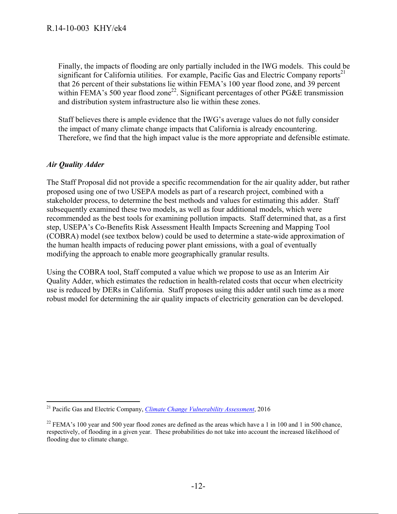Finally, the impacts of flooding are only partially included in the IWG models. This could be significant for California utilities. For example, Pacific Gas and Electric Company reports<sup>21</sup> that 26 percent of their substations lie within FEMA's 100 year flood zone, and 39 percent within FEMA's 500 year flood zone<sup>22</sup>. Significant percentages of other PG&E transmission and distribution system infrastructure also lie within these zones.

Staff believes there is ample evidence that the IWG's average values do not fully consider the impact of many climate change impacts that California is already encountering. Therefore, we find that the high impact value is the more appropriate and defensible estimate.

#### *Air Quality Adder*

The Staff Proposal did not provide a specific recommendation for the air quality adder, but rather proposed using one of two USEPA models as part of a research project, combined with a stakeholder process, to determine the best methods and values for estimating this adder. Staff subsequently examined these two models, as well as four additional models, which were recommended as the best tools for examining pollution impacts. Staff determined that, as a first step, USEPA's Co-Benefits Risk Assessment Health Impacts Screening and Mapping Tool (COBRA) model (see textbox below) could be used to determine a state-wide approximation of the human health impacts of reducing power plant emissions, with a goal of eventually modifying the approach to enable more geographically granular results.

Using the COBRA tool, Staff computed a value which we propose to use as an Interim Air Quality Adder, which estimates the reduction in health-related costs that occur when electricity use is reduced by DERs in California. Staff proposes using this adder until such time as a more robust model for determining the air quality impacts of electricity generation can be developed.

 $\overline{a}$ 21 Pacific Gas and Electric Company, *Climate Change Vulnerability Assessment*, 2016

<sup>&</sup>lt;sup>22</sup> FEMA's 100 year and 500 year flood zones are defined as the areas which have a 1 in 100 and 1 in 500 chance, respectively, of flooding in a given year. These probabilities do not take into account the increased likelihood of flooding due to climate change.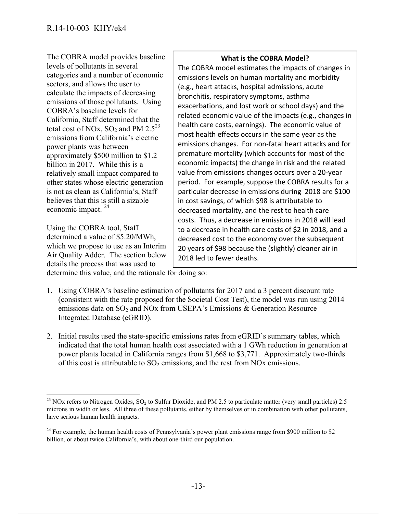The COBRA model provides baseline levels of pollutants in several categories and a number of economic sectors, and allows the user to calculate the impacts of decreasing emissions of those pollutants. Using COBRA's baseline levels for California, Staff determined that the total cost of NOx,  $SO_2$  and PM 2.5<sup>23</sup> emissions from California's electric power plants was between approximately \$500 million to \$1.2 billion in 2017. While this is a relatively small impact compared to other states whose electric generation is not as clean as California's, Staff believes that this is still a sizable economic impact. 24

Using the COBRA tool, Staff determined a value of \$5.20/MWh, which we propose to use as an Interim Air Quality Adder. The section below details the process that was used to

#### **What is the COBRA Model?**

The COBRA model estimates the impacts of changes in emissions levels on human mortality and morbidity (e.g., heart attacks, hospital admissions, acute bronchitis, respiratory symptoms, asthma exacerbations, and lost work or school days) and the related economic value of the impacts (e.g., changes in health care costs, earnings). The economic value of most health effects occurs in the same year as the emissions changes. For non‐fatal heart attacks and for premature mortality (which accounts for most of the economic impacts) the change in risk and the related value from emissions changes occurs over a 20‐year period. For example, suppose the COBRA results for a particular decrease in emissions during 2018 are \$100 in cost savings, of which \$98 is attributable to decreased mortality, and the rest to health care costs. Thus, a decrease in emissions in 2018 will lead to a decrease in health care costs of \$2 in 2018, and a decreased cost to the economy over the subsequent 20 years of \$98 because the (slightly) cleaner air in 2018 led to fewer deaths.

determine this value, and the rationale for doing so:

- 1. Using COBRA's baseline estimation of pollutants for 2017 and a 3 percent discount rate (consistent with the rate proposed for the Societal Cost Test), the model was run using 2014 emissions data on  $SO_2$  and NOx from USEPA's Emissions & Generation Resource Integrated Database (eGRID).
- 2. Initial results used the state-specific emissions rates from eGRID's summary tables, which indicated that the total human health cost associated with a 1 GWh reduction in generation at power plants located in California ranges from \$1,668 to \$3,771. Approximately two-thirds of this cost is attributable to  $SO_2$  emissions, and the rest from NOx emissions.

  $^{23}$  NOx refers to Nitrogen Oxides, SO<sub>2</sub> to Sulfur Dioxide, and PM 2.5 to particulate matter (very small particles) 2.5 microns in width or less. All three of these pollutants, either by themselves or in combination with other pollutants, have serious human health impacts.

 $24$  For example, the human health costs of Pennsylvania's power plant emissions range from \$900 million to \$2 billion, or about twice California's, with about one-third our population.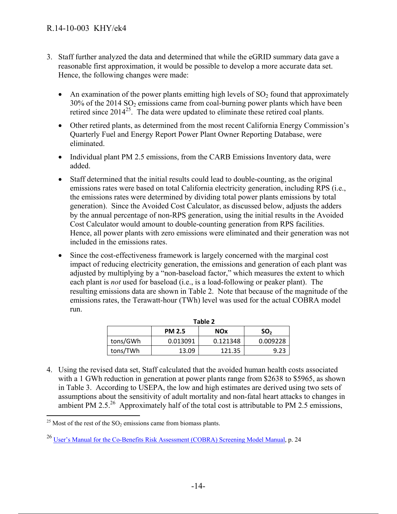- 3. Staff further analyzed the data and determined that while the eGRID summary data gave a reasonable first approximation, it would be possible to develop a more accurate data set. Hence, the following changes were made:
	- An examination of the power plants emitting high levels of  $SO<sub>2</sub>$  found that approximately  $30\%$  of the  $2014$  SO<sub>2</sub> emissions came from coal-burning power plants which have been retired since  $2014^{25}$ . The data were updated to eliminate these retired coal plants.
	- Other retired plants, as determined from the most recent California Energy Commission's Quarterly Fuel and Energy Report Power Plant Owner Reporting Database, were eliminated.
	- Individual plant PM 2.5 emissions, from the CARB Emissions Inventory data, were added.
	- Staff determined that the initial results could lead to double-counting, as the original emissions rates were based on total California electricity generation, including RPS (i.e., the emissions rates were determined by dividing total power plants emissions by total generation). Since the Avoided Cost Calculator, as discussed below, adjusts the adders by the annual percentage of non-RPS generation, using the initial results in the Avoided Cost Calculator would amount to double-counting generation from RPS facilities. Hence, all power plants with zero emissions were eliminated and their generation was not included in the emissions rates.
	- Since the cost-effectiveness framework is largely concerned with the marginal cost impact of reducing electricity generation, the emissions and generation of each plant was adjusted by multiplying by a "non-baseload factor," which measures the extent to which each plant is *not* used for baseload (i.e., is a load-following or peaker plant). The resulting emissions data are shown in Table 2. Note that because of the magnitude of the emissions rates, the Terawatt-hour (TWh) level was used for the actual COBRA model run.

| Table 2  |               |            |                 |  |  |  |
|----------|---------------|------------|-----------------|--|--|--|
|          | <b>PM 2.5</b> | <b>NOx</b> | SO <sub>2</sub> |  |  |  |
| tons/GWh | 0.013091      | 0.121348   | 0.009228        |  |  |  |
| tons/TWh | 13.09         | 121.35     | 9.23            |  |  |  |

4. Using the revised data set, Staff calculated that the avoided human health costs associated with a 1 GWh reduction in generation at power plants range from \$2638 to \$5965, as shown in Table 3. According to USEPA, the low and high estimates are derived using two sets of assumptions about the sensitivity of adult mortality and non-fatal heart attacks to changes in ambient PM 2.5.<sup>26</sup> Approximately half of the total cost is attributable to PM 2.5 emissions,

 $\overline{a}$ <sup>25</sup> Most of the rest of the  $SO_2$  emissions came from biomass plants.

<sup>26</sup> User's Manual for the Co-Benefits Risk Assessment (COBRA) Screening Model Manual, p. 24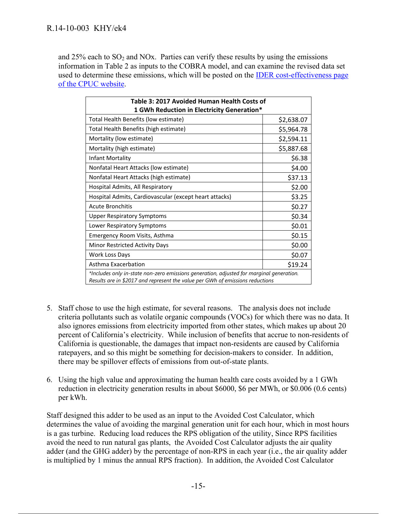and  $25\%$  each to  $SO_2$  and NOx. Parties can verify these results by using the emissions information in Table 2 as inputs to the COBRA model, and can examine the revised data set used to determine these emissions, which will be posted on the IDER cost-effectiveness page of the CPUC website.

| Table 3: 2017 Avoided Human Health Costs of                                                                                                                               |            |  |  |  |
|---------------------------------------------------------------------------------------------------------------------------------------------------------------------------|------------|--|--|--|
| 1 GWh Reduction in Electricity Generation*                                                                                                                                |            |  |  |  |
| Total Health Benefits (low estimate)                                                                                                                                      | \$2,638.07 |  |  |  |
| Total Health Benefits (high estimate)                                                                                                                                     | \$5,964.78 |  |  |  |
| Mortality (low estimate)                                                                                                                                                  | \$2,594.11 |  |  |  |
| Mortality (high estimate)                                                                                                                                                 | \$5,887.68 |  |  |  |
| Infant Mortality                                                                                                                                                          | \$6.38     |  |  |  |
| Nonfatal Heart Attacks (low estimate)                                                                                                                                     | \$4.00     |  |  |  |
| Nonfatal Heart Attacks (high estimate)                                                                                                                                    | \$37.13    |  |  |  |
| Hospital Admits, All Respiratory                                                                                                                                          | \$2.00     |  |  |  |
| Hospital Admits, Cardiovascular (except heart attacks)                                                                                                                    | \$3.25     |  |  |  |
| <b>Acute Bronchitis</b>                                                                                                                                                   | \$0.27     |  |  |  |
| <b>Upper Respiratory Symptoms</b>                                                                                                                                         | \$0.34     |  |  |  |
| Lower Respiratory Symptoms                                                                                                                                                | \$0.01     |  |  |  |
| Emergency Room Visits, Asthma                                                                                                                                             | \$0.15     |  |  |  |
| Minor Restricted Activity Days                                                                                                                                            | \$0.00     |  |  |  |
| Work Loss Days                                                                                                                                                            | \$0.07     |  |  |  |
| Asthma Exacerbation                                                                                                                                                       | \$19.24    |  |  |  |
| *Includes only in-state non-zero emissions generation, adjusted for marginal generation.<br>Results are in \$2017 and represent the value per GWh of emissions reductions |            |  |  |  |

- 5. Staff chose to use the high estimate, for several reasons. The analysis does not include criteria pollutants such as volatile organic compounds (VOCs) for which there was no data. It also ignores emissions from electricity imported from other states, which makes up about 20 percent of California's electricity. While inclusion of benefits that accrue to non-residents of California is questionable, the damages that impact non-residents are caused by California ratepayers, and so this might be something for decision-makers to consider. In addition, there may be spillover effects of emissions from out-of-state plants.
- 6. Using the high value and approximating the human health care costs avoided by a 1 GWh reduction in electricity generation results in about \$6000, \$6 per MWh, or \$0.006 (0.6 cents) per kWh.

Staff designed this adder to be used as an input to the Avoided Cost Calculator, which determines the value of avoiding the marginal generation unit for each hour, which in most hours is a gas turbine. Reducing load reduces the RPS obligation of the utility, Since RPS facilities avoid the need to run natural gas plants, the Avoided Cost Calculator adjusts the air quality adder (and the GHG adder) by the percentage of non-RPS in each year (i.e., the air quality adder is multiplied by 1 minus the annual RPS fraction). In addition, the Avoided Cost Calculator